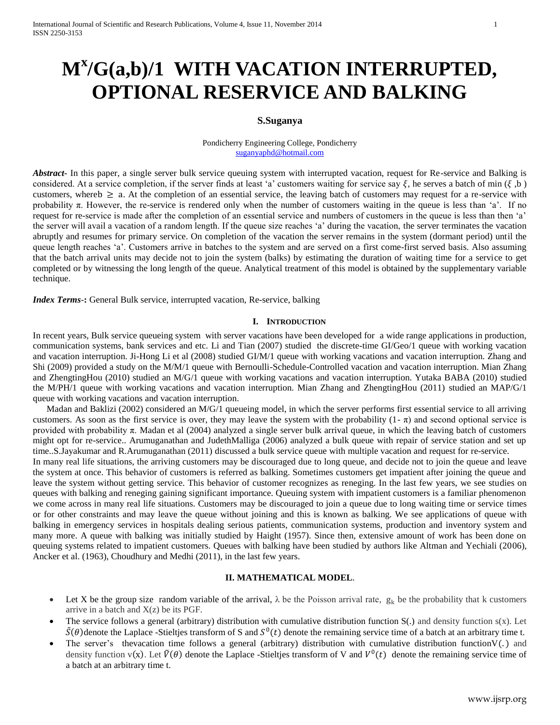# **M<sup>x</sup> /G(a,b)/1 WITH VACATION INTERRUPTED, OPTIONAL RESERVICE AND BALKING**

# **S.Suganya**

#### Pondicherry Engineering College, Pondicherry [suganyaphd@hotmail.com](mailto:suganyaphd@hotmail.com)

*Abstract***-** In this paper, a single server bulk service queuing system with interrupted vacation, request for Re-service and Balking is considered. At a service completion, if the server finds at least 'a' customers waiting for service say  $\xi$ , he serves a batch of min  $(\xi, b)$ customers, whereb  $\geq$  a. At the completion of an essential service, the leaving batch of customers may request for a re-service with probability  $\pi$ . However, the re-service is rendered only when the number of customers waiting in the queue is less than 'a'. If no request for re-service is made after the completion of an essential service and numbers of customers in the queue is less than then "a" the server will avail a vacation of a random length. If the queue size reaches "a" during the vacation, the server terminates the vacation abruptly and resumes for primary service. On completion of the vacation the server remains in the system (dormant period) until the queue length reaches 'a'. Customers arrive in batches to the system and are served on a first come-first served basis. Also assuming that the batch arrival units may decide not to join the system (balks) by estimating the duration of waiting time for a service to get completed or by witnessing the long length of the queue. Analytical treatment of this model is obtained by the supplementary variable technique.

*Index Terms*-**:** General Bulk service, interrupted vacation, Re-service, balking

## **I. INTRODUCTION**

In recent years, Bulk service queueing system with server vacations have been developed for a wide range applications in production, communication systems, bank services and etc. Li and Tian (2007) studied the discrete-time GI/Geo/1 queue with working vacation and vacation interruption. Ji-Hong Li et al (2008) studied GI/M/1 queue with working vacations and vacation interruption. Zhang and Shi (2009) provided a study on the M/M/1 queue with Bernoulli-Schedule-Controlled vacation and vacation interruption. Mian Zhang and ZhengtingHou (2010) studied an M/G/1 queue with working vacations and vacation interruption. Yutaka BABA (2010) studied the M/PH/1 queue with working vacations and vacation interruption. Mian Zhang and ZhengtingHou (2011) studied an MAP/G/1 queue with working vacations and vacation interruption.

Madan and Baklizi (2002) considered an M/G/1 queueing model, in which the server performs first essential service to all arriving customers. As soon as the first service is over, they may leave the system with the probability  $(1 - \pi)$  and second optional service is provided with probability  $\pi$ . Madan et al (2004) analyzed a single server bulk arrival queue, in which the leaving batch of customers might opt for re-service.. Arumuganathan and JudethMalliga (2006) analyzed a bulk queue with repair of service station and set up time..S.Jayakumar and R.Arumuganathan (2011) discussed a bulk service queue with multiple vacation and request for re-service.

In many real life situations, the arriving customers may be discouraged due to long queue, and decide not to join the queue and leave the system at once. This behavior of customers is referred as balking. Sometimes customers get impatient after joining the queue and leave the system without getting service. This behavior of customer recognizes as reneging. In the last few years, we see studies on queues with balking and reneging gaining significant importance. Queuing system with impatient customers is a familiar phenomenon we come across in many real life situations. Customers may be discouraged to join a queue due to long waiting time or service times or for other constraints and may leave the queue without joining and this is known as balking. We see applications of queue with balking in emergency services in hospitals dealing serious patients, communication systems, production and inventory system and many more. A queue with balking was initially studied by Haight (1957). Since then, extensive amount of work has been done on queuing systems related to impatient customers. Queues with balking have been studied by authors like Altman and Yechiali (2006), Ancker et al. (1963), Choudhury and Medhi (2011), in the last few years.

## **II. MATHEMATICAL MODEL**.

- Let X be the group size random variable of the arrival,  $\lambda$  be the Poisson arrival rate,  $g_k$  be the probability that k customers arrive in a batch and X(z) be its PGF.
- The service follows a general (arbitrary) distribution with cumulative distribution function  $S(.)$  and density function  $s(x)$ . Let  $\tilde{S}(\theta)$  denote the Laplace -Stieltjes transform of S and  $S^0(t)$  denote the remaining service time of a batch at an arbitrary time t.
- The server's thevacation time follows a general (arbitrary) distribution with cumulative distribution function $V(.)$  and density function  $v(x)$ . Let  $\tilde{V}(\theta)$  denote the Laplace -Stieltjes transform of V and  $V^0(t)$  denote the remaining service time of a batch at an arbitrary time t.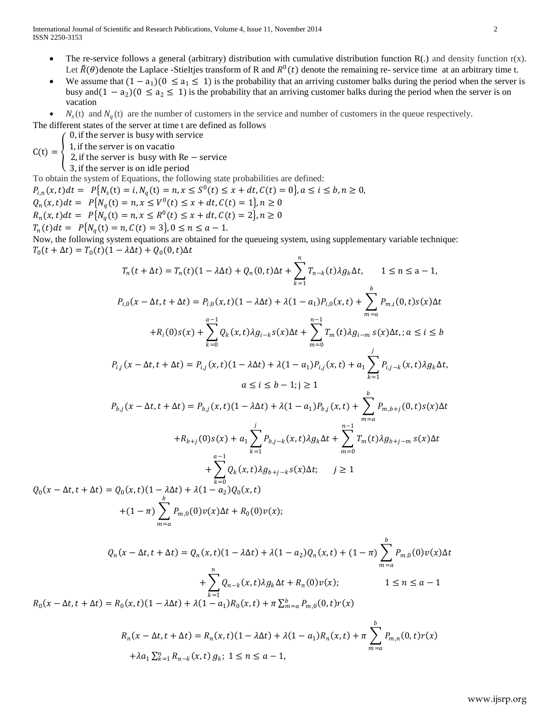- The re-service follows a general (arbitrary) distribution with cumulative distribution function  $R(.)$  and density function  $r(x)$ . Let  $\tilde{R}(\theta)$  denote the Laplace -Stieltjes transform of R and  $R^0(t)$  denote the remaining re- service time at an arbitrary time t.
- We assume that  $(1 a_1)(0 \le a_1 \le 1)$  is the probability that an arriving customer balks during the period when the server is busy and  $(1 - a_2)(0 \le a_2 \le 1)$  is the probability that an arriving customer balks during the period when the server is on vacation
- $\bullet$   $N_s(t)$  and  $N_q(t)$  are the number of customers in the service and number of customers in the queue respectively.

The different states of the server at time t are defined as follows

0, if the server is busy with service

 $C(t) = \begin{cases} 1, & \text{if the server is on vacation} \\ 2, & \text{if the server is invariant} \end{cases}$ 

2, if the server is busy with Re – service 3, if the server is on idle period

To obtain the system of Equations, the following state probabilities are defined:

 $m = a$ 

 $P_{i,n}(x,t)dt = P{N_s(t) = i, N_q(t) = n, x \leq S^0(t) \leq x + dt, C(t) = 0}, a \leq i \leq b, n \geq 0,$  $Q_n(x, t)dt = P{N_q(t) = n, x \leq V^0(t) \leq x + dt, C(t) = 1}, n \geq 0$  $R_n(x, t)dt = P{N_q(t) = n, x \le R^0(t) \le x + dt, C(t) = 2}, n \ge 0$ 

 $T_n(t)dt = P\{N_q(t) = n, C(t) = 3\}, 0 \le n \le a - 1.$ 

Now, the following system equations are obtained for the queueing system, using supplementary variable technique:  $T_0(t + \Delta t) = T_0(t)(1 - \lambda \Delta t) + Q_0(0, t)\Delta t$ 

$$
T_n(t + \Delta t) = T_n(t)(1 - \lambda \Delta t) + Q_n(0, t)\Delta t + \sum_{k=1}^n T_{n-k}(t)\lambda g_k \Delta t, \quad 1 \le n \le a - 1,
$$
  
\n
$$
P_{i,0}(x - \Delta t, t + \Delta t) = P_{i,0}(x, t)(1 - \lambda \Delta t) + \lambda(1 - a_1)P_{i,0}(x, t) + \sum_{m=a}^b P_{m,i}(0, t)s(x)\Delta t
$$
  
\n
$$
+ R_i(0)s(x) + \sum_{k=0}^{a-1} Q_k(x, t)\lambda g_{i-k}s(x)\Delta t + \sum_{m=0}^{n-1} T_m(t)\lambda g_{i-m} s(x)\Delta t, a \le i \le b
$$
  
\n
$$
P_{i,j}(x - \Delta t, t + \Delta t) = P_{i,j}(x, t)(1 - \lambda \Delta t) + \lambda(1 - a_1)P_{i,j}(x, t) + a_1 \sum_{k=1}^j P_{i,j-k}(x, t)\lambda g_k \Delta t,
$$
  
\n
$$
a \le i \le b - 1; j \ge 1
$$
  
\n
$$
P_{b,j}(x - \Delta t, t + \Delta t) = P_{b,j}(x, t)(1 - \lambda \Delta t) + \lambda(1 - a_1)P_{b,j}(x, t) + \sum_{m=a}^b P_{m,b+j}(0, t)s(x)\Delta t
$$
  
\n
$$
+ R_{b+j}(0)s(x) + a_1 \sum_{k=1}^j P_{b,j-k}(x, t)\lambda g_k \Delta t + \sum_{m=0}^{n-1} T_m(t)\lambda g_{b+j-m} s(x)\Delta t
$$
  
\n
$$
+ \sum_{k=0}^{a-1} Q_k(x, t)\lambda g_{b+j-k}s(x)\Delta t; \quad j \ge 1
$$
  
\n
$$
Q_0(x - \Delta t, t + \Delta t) = Q_0(x, t)(1 - \lambda \Delta t) + \lambda(1 - a_2)Q_0(x, t)
$$
  
\n
$$
+ (1 - \pi) \sum_{k=0}^b P_{m,0}(0)v(x)\Delta t + R_0(0)v(x);
$$

$$
Q_n(x - \Delta t, t + \Delta t) = Q_n(x, t)(1 - \lambda \Delta t) + \lambda(1 - a_2)Q_n(x, t) + (1 - \pi) \sum_{m=a}^{b} P_{m,0}(0)v(x)\Delta t
$$

$$
+ \sum_{k=1}^{n} Q_{n-k}(x, t)\lambda g_k \Delta t + R_n(0)v(x); \qquad 1 \le n \le a - 1
$$

$$
R_0(x - \Delta t, t + \Delta t) = R_0(x, t)(1 - \lambda \Delta t) + \lambda(1 - a_1)R_0(x, t) + \pi \sum_{m=a}^{b} P_{m,0}(0, t)r(x)
$$

$$
R_n(x - \Delta t, t + \Delta t) = R_n(x, t)(1 - \lambda \Delta t) + \lambda(1 - a_1)R_n(x, t) + \pi \sum_{m=a}^{b} P_{m,n}(0, t)r(x) + \lambda a_1 \sum_{k=1}^{n} R_{n-k}(x, t) g_k; 1 \le n \le a - 1,
$$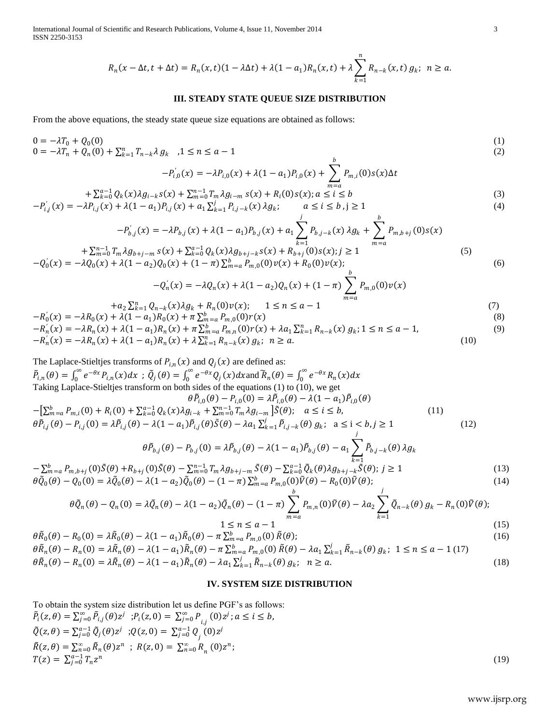International Journal of Scientific and Research Publications, Volume 4, Issue 11, November 2014 3 ISSN 2250-3153

$$
R_n(x-\Delta t, t+\Delta t) = R_n(x,t)(1-\lambda\Delta t) + \lambda(1-a_1)R_n(x,t) + \lambda \sum_{k=1}^n R_{n-k}(x,t) g_k; \ n \ge a.
$$

#### **III. STEADY STATE QUEUE SIZE DISTRIBUTION**

From the above equations, the steady state queue size equations are obtained as follows:

$$
0 = -\lambda T_0 + Q_0(0)
$$
  
\n
$$
0 = -\lambda T_n + Q_n(0) + \sum_{k=1}^n T_{n-k} \lambda g_k, \quad 1 \le n \le a-1
$$
  
\n
$$
0 = 0
$$
  
\n
$$
b
$$
  
\n(1)  
\n
$$
b
$$

$$
-P'_{i,0}(x) = -\lambda P_{i,0}(x) + \lambda (1 - a_1) P_{i,0}(x) + \sum_{m=a}^{\infty} P_{m,i}(0) s(x) \Delta t
$$

$$
+\sum_{k=0}^{a-1} Q_k(x) \lambda g_{i-k} s(x) + \sum_{m=0}^{n-1} T_m \lambda g_{i-m} s(x) + R_i(0) s(x); a \le i \le b
$$
  
\n
$$
-P'_{i,j}(x) = -\lambda P_{i,j}(x) + \lambda (1 - a_1) P_{i,j}(x) + a_1 \sum_{k=1}^{j} P_{i,j-k}(x) \lambda g_k; \qquad a \le i \le b, j \ge 1
$$
\n(3)

$$
-P'_{b,j}(x) = -\lambda P_{b,j}(x) + \lambda (1 - a_1) P_{b,j}(x) + a_1 \sum_{k=1}^j P_{b,j-k}(x) \lambda g_k + \sum_{m=a}^b P_{m,b+j}(0) s(x) + \sum_{m=0}^{m-1} T_m \lambda g_{b+j-m} s(x) + \sum_{k=0}^{a-1} Q_k(x) \lambda g_{b+j-k} s(x) + R_{b+j}(0) s(x); j \ge 1
$$
\n(5)

$$
-Q'_0(x) = -\lambda Q_0(x) + \lambda (1 - a_2)Q_0(x) + (1 - \pi) \sum_{m=a}^{b} P_{m,0}(0) \nu(x) + R_0(0) \nu(x); \tag{6}
$$

$$
-Q'_{n}(x) = -\lambda Q_{n}(x) + \lambda (1 - a_{2})Q_{n}(x) + (1 - \pi) \sum_{m=a} P_{m,0}(0)\nu(x)
$$
  

$$
Q_{n-k}(x)\lambda g_{k} + R_{n}(0)\nu(x); \quad 1 \le n \le a - 1
$$
 (7)

$$
+a_{2} \sum_{k=1}^{n} Q_{n-k}(x) \lambda g_{k} + R_{n}(0) \nu(x); \quad 1 \leq n \leq a-1
$$
\n
$$
-R_{0}^{'}(x) = -\lambda R_{0}(x) + \lambda (1 - a_{1})R_{0}(x) + \pi \sum_{m=a}^{b} P_{m,0}(0)r(x)
$$
\n
$$
-R_{n}^{'}(x) = -\lambda R_{n}(x) + \lambda (1 - a_{1})R_{n}(x) + \pi \sum_{m=a}^{b} P_{m,n}(0)r(x) + \lambda a_{1} \sum_{k=1}^{n} R_{n-k}(x) g_{k}; 1 \leq n \leq a-1,
$$
\n(9)\n
$$
-R_{n}^{'}(x) = -\lambda R_{n}(x) + \lambda (1 - a_{1})R_{n}(x) + \lambda \sum_{k=1}^{n} R_{n-k}(x) g_{k}; n \geq a.
$$
\n(10)

The Laplace-Stieltjes transforms of  $P_{i,n}(x)$  and  $Q_j(x)$  are defined as:  $\tilde{P}_{i,n}(\theta) = \int_0^\infty e^{-\theta x} P_{i,n}(x) dx$ ;  $\tilde{Q}_j(\theta) = \int_0^\infty e^{-\theta x} Q_j(x) dx$ 0 ∞  $\int_0^{\infty} e^{-\theta x} P_{i,n}(x) dx$ ;  $\tilde{Q}_j(\theta) = \int_0^{\infty} e^{-\theta x} Q_j(x) dx$  and  $\tilde{R}_n(\theta) = \int_0^{\infty} e^{-\theta x} R_n(x) dx$ Taking Laplace-Stieltjes transform on both sides of the equations (1) to (10), we get  $\theta \tilde{P}_{i,0}(\theta) - P_{i,0}(0) = \lambda \tilde{P}_{i,0}(\theta) - \lambda (1 - a_1) \tilde{P}_{i,0}(\theta)$  $-[\sum_{m=a}^{b} P_{m,i}(0) + R_i(0) + \sum_{k=0}^{a-1} Q_k(x) \lambda g_{i-k} + \sum_{m=0}^{n-1} T_m \lambda g_{i-m}] \tilde{S}(\theta); \quad a \le i \le b,$  (11)  $\theta \tilde{P}_{i,j}(\theta) - P_{i,j}(0) = \lambda \tilde{P}_{i,j}(\theta) - \lambda (1 - a_1) \tilde{P}_{i,j}(\theta) \tilde{S}(\theta) - \lambda a_1 \sum_{k=1}^{j} \tilde{P}_{i,j-k}(\theta) g_k; \quad a \le i < b, j \ge 1$  (12) j

$$
\theta \tilde{P}_{b,j}(\theta) - P_{b,j}(0) = \lambda \tilde{P}_{b,j}(\theta) - \lambda (1 - a_1) \tilde{P}_{b,j}(\theta) - a_1 \sum_{k=1}^{\infty} \tilde{P}_{b,j-k}(\theta) \lambda g_k
$$
\n
$$
\begin{array}{ll}\n\text{(0) } \tilde{c}(\theta) & \nabla^{n-1} T \quad \text{(1)} \\
\tilde{c}(\theta) & \nabla^{n-1} \tilde{Q} & \nabla^{n-1} \tilde{Q} & \nabla^{n-1} \tilde{Q} & \nabla^{n-1} \tilde{Q} \\
\end{array}
$$
\n
$$
\tag{1}
$$

 $-\sum_{m=0}^{b} P_{m,b+j}(0)\tilde{S}(\theta) + R_{b+j}(0)\tilde{S}(\theta) - \sum_{m=0}^{n-1} T_m \lambda g_{b+j-m} \tilde{S}(\theta) - \sum_{k=0}^{a-1} \tilde{Q}_k(\theta) \lambda g_{b+j-k} \tilde{S}(\theta); j \ge 1$  (13)  $\theta \tilde{Q}_0(\theta) - Q_0(0) = \lambda \tilde{Q}_0(\theta) - \lambda (1 - a_2) \tilde{Q}_0(\theta) - (1 - \pi) \sum_{m=a}^{b} P_{m,0}(0) \tilde{V}(\theta) - R_0(0) \tilde{V}(\theta);$  (14)  $b$   $j$ 

$$
\theta \tilde{Q}_n(\theta) - Q_n(0) = \lambda \tilde{Q}_n(\theta) - \lambda (1 - a_2) \tilde{Q}_n(\theta) - (1 - \pi) \sum_{m=a}^b P_{m,n}(0) \tilde{V}(\theta) - \lambda a_2 \sum_{k=1}^j \tilde{Q}_{n-k}(\theta) g_k - R_n(0) \tilde{V}(\theta);
$$
\n
$$
1 \le n \le a - 1
$$
\n(15)

$$
\theta \tilde{R}_0(\theta) - R_0(0) = \lambda \tilde{R}_0(\theta) - \lambda (1 - a_1) \tilde{R}_0(\theta) - \pi \sum_{m=a}^{b} P_{m,0}(0) \tilde{R}(\theta);
$$
\n
$$
\theta \tilde{R}_n(\theta) - R_n(0) = \lambda \tilde{R}_n(\theta) - \lambda (1 - a_1) \tilde{R}_n(\theta) - \pi \sum_{m=a}^{b} P_{m,0}(0) \tilde{R}(\theta) - \lambda a_1 \sum_{k=1}^{j} \tilde{R}_{n-k}(\theta) g_k; \ 1 \le n \le a - 1 \ (17)
$$
\n(16)

 $\theta \tilde{R}_n(\theta) - R_n(0) = \lambda \tilde{R}_n(\theta) - \lambda (1 - a_1) \tilde{R}_n(\theta) - \lambda a_1 \sum_{k=1}^j \tilde{R}_{n-k}(\theta) g_k; \quad n \ge a.$  (18)

#### **IV. SYSTEM SIZE DISTRIBUTION**

To obtain the system size distribution let us define PGF"s as follows:  $\tilde{P}_i(z,\theta) = \sum_{j=0}^{\infty} \tilde{P}_{i,j}(\theta) z^j$ ;  $P_i(z,0) = \sum_{j=0}^{\infty} P_{i,j}(0) z^j; a \le i \le b$ ,  $\tilde{Q}(z,\theta) = \sum_{j=0}^{a-1} \tilde{Q}_j(\theta) z^j$ ;  $Q(z,0) = \sum_{j=0}^{a-1} Q_j(0) z^j$  $\tilde{R}(z,\theta) = \sum_{n=0}^{\infty} \tilde{R}_n(\theta) z^n$ ;  $R(z,0) = \sum_{n=0}^{\infty} R_n(0) z^n$ ;  $T(z) = \sum_{j=0}^{a-1} T_n z^n$ (19)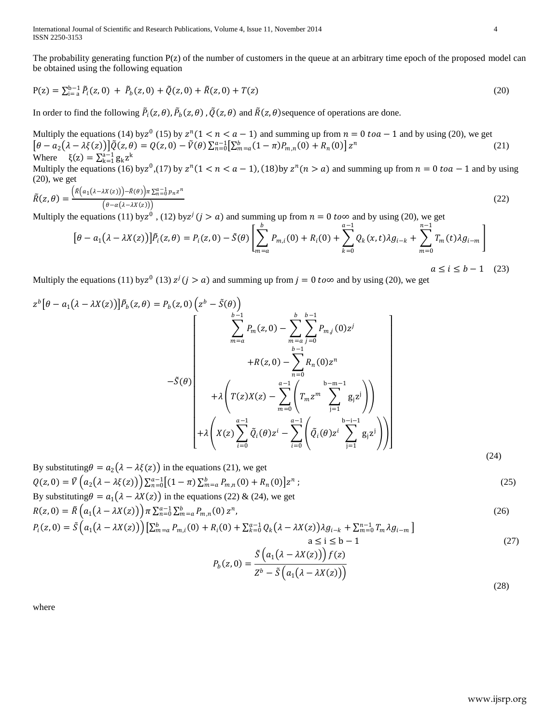International Journal of Scientific and Research Publications, Volume 4, Issue 11, November 2014 4 ISSN 2250-3153

The probability generating function  $P(z)$  of the number of customers in the queue at an arbitrary time epoch of the proposed model can be obtained using the following equation

$$
P(z) = \sum_{i=1}^{b-1} \tilde{P}_i(z,0) + \tilde{P}_b(z,0) + \tilde{Q}(z,0) + \tilde{R}(z,0) + T(z)
$$
\n(20)

In order to find the following  $\tilde{P}_i(z,\theta)$ ,  $\tilde{P}_b(z,\theta)$ ,  $\tilde{Q}(z,\theta)$  and  $\tilde{R}(z,\theta)$ sequence of operations are done.

Multiply the equations (14) by  $z^{n}$  (15) by  $z^{n}$  (1 <  $n < a - 1$ ) and summing up from  $n = 0$  to  $a - 1$  and by using (20), we get  $\left[\theta - a_2(\lambda - \lambda \xi(z))\right] \tilde{Q}(z,\theta) = Q(z,0) - \tilde{V}(\theta) \sum_{n=0}^{a-1} \left[\sum_{m=a}^{b} (1-\pi) P_{m,n}(0) + R_n(0)\right] z^n$ (21) Where  $\xi(z) = \sum_{k=1}^{a-1} g_k z^k$ Multiply the equations (16) by  $z^0$ , (17) by  $z^n$  (1 <  $n < a - 1$ ), (18) by  $z^n$  ( $n > a$ ) and summing up from  $n = 0$  to  $a - 1$  and by using  $(20)$ , we get

$$
\tilde{R}(z,\theta) = \frac{\left(\tilde{R}\left(a_1(\lambda - \lambda X(z))\right) - \tilde{R}(\theta)\right)\pi \sum_{n=0}^{\infty} p_n z^n}{\left(\theta - \alpha(\lambda - \lambda X(z))\right)}
$$
\n(22)

Multiply the equations (11) by  $z^0$ , (12) by  $z^j$  ( $j > a$ ) and summing up from  $n = 0$  to  $\infty$  and by using (20), we get

$$
[\theta - a_1(\lambda - \lambda X(z))] \tilde{P}_i(z, \theta) = P_i(z, 0) - \tilde{S}(\theta) \left[ \sum_{m=a}^b P_{m,i}(0) + R_i(0) + \sum_{k=0}^{a-1} Q_k(x, t) \lambda g_{i-k} + \sum_{m=0}^{n-1} T_m(t) \lambda g_{i-m} \right]
$$
  

$$
a \le i \le b - 1 \quad (23)
$$

Multiply the equations (11) by  $z^0$  (13)  $z^j$  ( $j > a$ ) and summing up from  $j = 0$  to  $\infty$  and by using (20), we get

$$
z^{b}[\theta - a_{1}(\lambda - \lambda X(z))] \tilde{P}_{b}(z, \theta) = P_{b}(z, 0) \left( z^{b} - \tilde{S}(\theta) \right)
$$
\n
$$
\frac{\sum_{m=a}^{b-1} P_{m}(z, 0) - \sum_{m=a}^{b} \sum_{j=0}^{b-1} P_{m,j}(0) z^{j}}{+R(z, 0) - \sum_{n=0}^{b-1} R_{n}(0) z^{n}} + R(z, 0) - \sum_{n=0}^{b-1} \left( R_{m} z^{m} \sum_{j=1}^{b-n-1} g_{j} z^{j} \right)
$$
\n
$$
+ \lambda \left( T(z)X(z) - \sum_{m=0}^{a-1} \left( T_{m} z^{m} \sum_{j=1}^{b-n-1} g_{j} z^{j} \right) \right)
$$
\n
$$
+ \lambda \left( X(z) \sum_{i=0}^{a-1} \tilde{Q}_{i}(\theta) z^{i} - \sum_{i=0}^{a-1} \left( \tilde{Q}_{i}(\theta) z^{i} \sum_{j=1}^{b-i-1} g_{j} z^{j} \right) \right) \right)
$$
\n(24)

By substituting 
$$
\theta = a_2(\lambda - \lambda \xi(z))
$$
 in the equations (21), we get  
\n
$$
Q(z, 0) = \tilde{V} \left( a_2(\lambda - \lambda \xi(z)) \right) \sum_{n=0}^{\infty} \left[ (1 - \pi) \sum_{m=a}^{b} P_{m,n}(0) + R_n(0) \right] z^n;
$$
\nBy substituting  $\theta = a_1(\lambda - \lambda X(z))$  in the equations (22) & (24), we get  
\n
$$
R(z, 0) = \tilde{R} \left( a_1(\lambda - \lambda X(z)) \right) \pi \sum_{n=0}^{\infty} \sum_{m=a}^{b} P_{m,n}(0) z^n,
$$
\n(26)

$$
P_i(z,0) = \tilde{S}\left(a_1(\lambda - \lambda X(z))\right) \left[\sum_{m=a}^{b} P_{m,i}(0) + R_i(0) + \sum_{k=0}^{a-1} Q_k(\lambda - \lambda X(z))\lambda g_{i-k} + \sum_{m=0}^{n-1} T_m \lambda g_{i-m}\right]
$$
  
\n
$$
a \le i \le b-1
$$
\n(27)

$$
P_b(z,0) = \frac{\tilde{S}(a_1(\lambda - \lambda X(z)))f(z)}{Z^b - \tilde{S}(a_1(\lambda - \lambda X(z)))}
$$
\n(28)

where

www.ijsrp.org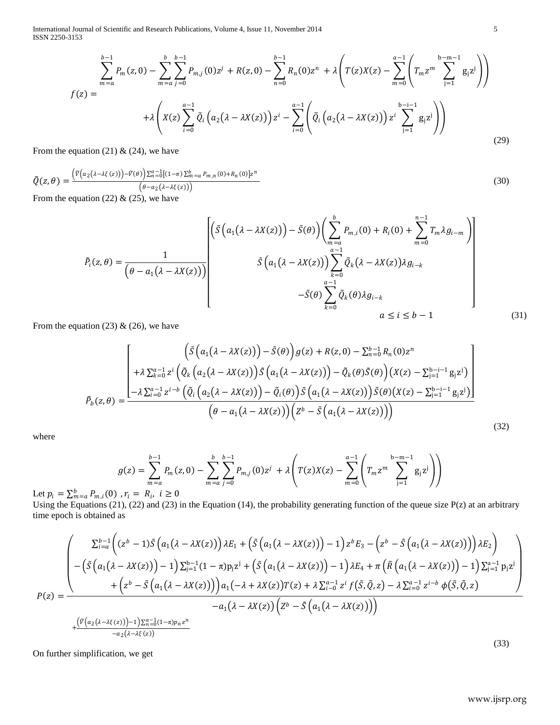International Journal of Scientific and Research Publications, Volume 4, Issue 11, November 2014 5 ISSN 2250-3153

$$
f(z) = \sum_{m=a}^{b-1} P_m(z,0) - \sum_{m=a}^{b} \sum_{j=0}^{b-1} P_{m,j}(0)z^j + R(z,0) - \sum_{n=0}^{b-1} R_n(0)z^n + \lambda \left( T(z)X(z) - \sum_{m=0}^{a-1} \left( T_m z^m \sum_{j=1}^{b-m-1} g_j z^j \right) \right)
$$
  

$$
f(z) = + \lambda \left( X(z) \sum_{i=0}^{a-1} \tilde{Q}_i \left( a_2 (\lambda - \lambda X(z)) \right) z^i - \sum_{i=0}^{a-1} \left( \tilde{Q}_i \left( a_2 (\lambda - \lambda X(z)) \right) z^i \sum_{j=1}^{b-i-1} g_j z^j \right) \right)
$$
(29)

From the equation (21) & (24), we have

$$
\tilde{Q}(z,\theta) = \frac{\left(\tilde{V}\left(a_2(\lambda-\lambda\xi(z))\right) - \tilde{V}(\theta)\right)\Sigma_{n=0}^{a-1}\left[(1-\pi)\Sigma_{m=a}^{b}P_{m,n}(0) + R_n(0)\right]z^n}{\left(\theta - a_2(\lambda-\lambda\xi(z))\right)}\tag{30}
$$

From the equation (22)  $&$  (25), we have

$$
\tilde{P}_i(z,\theta) = \frac{1}{(\theta - a_1(\lambda - \lambda X(z)))} \begin{bmatrix} \tilde{S}(a_1(\lambda - \lambda X(z))) - \tilde{S}(\theta) \Big) \Big( \sum_{m=a}^{b} P_{m,i}(0) + R_i(0) + \sum_{m=0}^{n-1} T_m \lambda g_{i-m} \Big) \\ \tilde{S}(a_1(\lambda - \lambda X(z))) \sum_{k=0}^{a-1} \tilde{Q}_k(\lambda - \lambda X(z)) \lambda g_{i-k} \\ -\tilde{S}(\theta) \sum_{k=0}^{a-1} \tilde{Q}_k(\theta) \lambda g_{i-k} \\ a \le i \le b-1 \end{bmatrix}
$$
\n(31)

From the equation (23) & (26), we have

$$
\tilde{P}_b(z,\theta) = \frac{\left(\tilde{S}\left(a_1(\lambda - \lambda X(z))\right) - \tilde{S}(\theta)\right)g(z) + R(z,0) - \sum_{n=0}^{b-1} R_n(0)z^n + \lambda \sum_{k=0}^{a-1} z^i \left(\tilde{Q}_k\left(a_2(\lambda - \lambda X(z))\right)\tilde{S}\left(a_1(\lambda - \lambda X(z))\right) - \tilde{Q}_k(\theta)\tilde{S}(\theta)\right)\left(X(z) - \sum_{j=1}^{b-i-1} g_j z^j\right)}{-\lambda \sum_{i=0}^{a-1} z^{i-b} \left(\tilde{Q}_i\left(a_2(\lambda - \lambda X(z))\right) - \tilde{Q}_i(\theta)\right)\tilde{S}\left(a_1(\lambda - \lambda X(z))\right)\tilde{S}(\theta)\left(X(z) - \sum_{j=1}^{b-i-1} g_j z^j\right)}\right)}{\left(\theta - a_1(\lambda - \lambda X(z))\right)\left(z^b - \tilde{S}\left(a_1(\lambda - \lambda X(z))\right)\right)}
$$
\n(32)

where

$$
g(z) = \sum_{m=a}^{b-1} P_m(z,0) - \sum_{m=a}^{b} \sum_{j=0}^{b-1} P_{m,j}(0)z^j + \lambda \left( T(z)X(z) - \sum_{m=0}^{a-1} \left( T_m z^m \sum_{j=1}^{b-m-1} g_j z^j \right) \right)
$$
  
(0)  $x_i = R_i, i > 0$ 

Let  $p_i = \sum_{m=a}^{b} P_{m,i}(0)$  ,  $r_i = R_i$ ,  $i \ge 0$ 

Using the Equations (21), (22) and (23) in the Equation (14), the probability generating function of the queue size  $P(z)$  at an arbitrary time epoch is obtained as

$$
P(z) = \frac{\begin{pmatrix} \sum_{i=a}^{b-1} \left( (z^b - 1)\tilde{S} \left( a_1(\lambda - \lambda X(z)) \right) \lambda E_1 + \left( \tilde{S} \left( a_1(\lambda - \lambda X(z)) \right) - 1 \right) z^b E_3 - \left( z^b - \tilde{S} \left( a_1(\lambda - \lambda X(z)) \right) \right) \lambda E_2 \right) \right. \\ \left. - \left( \tilde{S} \left( a_1(\lambda - \lambda X(z)) \right) - 1 \right) \sum_{j=1}^{b-1} (1 - \pi) p_j z^j + \left( \tilde{S} \left( a_1(\lambda - \lambda X(z)) \right) - 1 \right) \lambda E_4 + \pi \left( \tilde{R} \left( a_1(\lambda - \lambda X(z)) \right) - 1 \right) \sum_{j=1}^{a-1} p_j z^j \right. \\ \left. + \left( z^b - \tilde{S} \left( a_1(\lambda - \lambda X(z)) \right) \right) a_1(-\lambda + \lambda X(z)) T(z) + \lambda \sum_{i=0}^{a-1} z^i f(\tilde{S}, \tilde{Q}, z) - \lambda \sum_{i=0}^{a-1} z^{i-b} \phi(\tilde{S}, \tilde{Q}, z) \right. \\ \left. - a_1(\lambda - \lambda X(z)) \left( Z^b - \tilde{S} \left( a_1(\lambda - \lambda X(z)) \right) \right) \right) \\ \left. + \frac{\left( \tilde{V} \left( a_2(\lambda - \lambda \xi(z)) \right) - 1 \right) \sum_{i=0}^{a-1} (1 - \pi) p_i z^n}{-a_2(\lambda - \lambda \xi(z))} \right)}{2(33)} \right)
$$

On further simplification, we get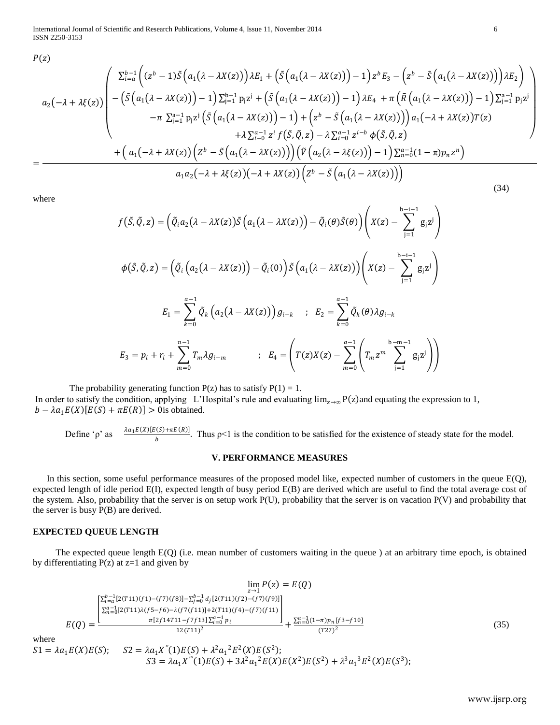International Journal of Scientific and Research Publications, Volume 4, Issue 11, November 2014 6 ISSN 2250-3153

 $P(z)$ 

$$
a_2(-\lambda + \lambda \xi(z)) \begin{pmatrix} \sum_{i=a}^{b-1} \left( (z^b - 1)\tilde{S} \left( a_1(\lambda - \lambda X(z)) \right) \lambda E_1 + \left( \tilde{S} \left( a_1(\lambda - \lambda X(z)) \right) - 1 \right) z^b E_3 - \left( z^b - \tilde{S} \left( a_1(\lambda - \lambda X(z)) \right) \right) \lambda E_2 \right) \\ - \left( \tilde{S} \left( a_1(\lambda - \lambda X(z)) \right) - 1 \right) \sum_{j=1}^{b-1} p_j z^j + \left( \tilde{S} \left( a_1(\lambda - \lambda X(z)) \right) - 1 \right) \lambda E_4 + \pi \left( \tilde{R} \left( a_1(\lambda - \lambda X(z)) \right) - 1 \right) \sum_{j=1}^{a-1} p_j z^j \\ - \pi \sum_{j=1}^{a-1} p_j z^j \left( \tilde{S} \left( a_1(\lambda - \lambda X(z)) \right) - 1 \right) + \left( z^b - \tilde{S} \left( a_1(\lambda - \lambda X(z)) \right) \right) a_1(-\lambda + \lambda X(z)) T(z) \\ + \lambda \sum_{i=0}^{a-1} z^i f(\tilde{S}, \tilde{Q}, z) - \lambda \sum_{i=0}^{a-1} z^{i-b} \phi(\tilde{S}, \tilde{Q}, z) \\ + \left( a_1(-\lambda + \lambda X(z)) \left( z^b - \tilde{S} \left( a_1(\lambda - \lambda X(z)) \right) \right) \left( \tilde{V} \left( a_2(\lambda - \lambda \xi(z)) \right) - 1 \right) \sum_{n=0}^{a-1} (1 - \pi) p_n z^n \right) \\ a_1 a_2(-\lambda + \lambda \xi(z)) (-\lambda + \lambda X(z)) \left( z^b - \tilde{S} \left( a_1(\lambda - \lambda X(z)) \right) \right) \end{pmatrix}
$$

where

=

$$
f(\tilde{S}, \tilde{Q}, z) = \left(\tilde{Q}_i a_2 (\lambda - \lambda X(z)) \tilde{S} \left(a_1 (\lambda - \lambda X(z))\right) - \tilde{Q}_i(\theta) \tilde{S}(\theta)\right) \left(X(z) - \sum_{j=1}^{b-i-1} g_j z^j\right)
$$
  

$$
\phi(\tilde{S}, \tilde{Q}, z) = \left(\tilde{Q}_i \left(a_2 (\lambda - \lambda X(z))\right) - \tilde{Q}_i(0)\right) \tilde{S} \left(a_1 (\lambda - \lambda X(z))\right) \left(X(z) - \sum_{j=1}^{b-i-1} g_j z^j\right)
$$
  

$$
E_1 = \sum_{k=0}^{a-1} \tilde{Q}_k \left(a_2 (\lambda - \lambda X(z))\right) g_{i-k} \quad ; \quad E_2 = \sum_{k=0}^{a-1} \tilde{Q}_k(\theta) \lambda g_{i-k}
$$
  

$$
E_3 = p_i + r_i + \sum_{m=0}^{n-1} T_m \lambda g_{i-m} \qquad ; \quad E_4 = \left(T(z)X(z) - \sum_{m=0}^{a-1} \left(T_m z^m \sum_{j=1}^{b-m-1} g_j z^j\right)\right)
$$

The probability generating function  $P(z)$  has to satisfy  $P(1) = 1$ . In order to satisfy the condition, applying L'Hospital's rule and evaluating  $\lim_{z\to\infty} P(z)$  and equating the expression to 1,  $b - \lambda a_1 E(X)[E(S) + \pi E(R)] > 0$  is obtained.

Define 'ρ' as  $\frac{\lambda a_1 E(X)[E(S) + \pi E(R)]}{b}$ . Thus  $p < 1$  is the condition to be satisfied for the existence of steady state for the model.

## **V. PERFORMANCE MEASURES**

 In this section, some useful performance measures of the proposed model like, expected number of customers in the queue E(Q), expected length of idle period E(I), expected length of busy period E(B) are derived which are useful to find the total average cost of the system. Also, probability that the server is on setup work P(U), probability that the server is on vacation P(V) and probability that the server is busy P(B) are derived.

## **EXPECTED QUEUE LENGTH**

 The expected queue length E(Q) (i.e. mean number of customers waiting in the queue ) at an arbitrary time epoch, is obtained by differentiating  $P(z)$  at  $z=1$  and given by

$$
\lim_{z \to 1} P(z) = E(Q)
$$
\n
$$
E(Q) = \frac{\begin{bmatrix} \sum_{i=a}^{b-1} [2(T11)(f1) - (f7)(f8)] - \sum_{j=0}^{b-1} d_j [2(T11)(f2) - (f7)(f9)] \\ \sum_{i=a}^{a-1} [2(T11)\lambda(f5 - f6) - \lambda(f7(f11)] + 2(T11)(f4) - (f7)(f11) \end{bmatrix}}{\pi [2f14T11 - f7f13] \sum_{i=0}^{a-1} p_i} + \frac{\sum_{n=0}^{a-1} (1 - \pi) p_n [f3 - f10]}{(T27)^2}
$$
\nThe equation is

\n
$$
= \lambda q. F(Y)F(S): \quad S2 = \lambda q. Y'(1)F(S) + \lambda^2 q. \lambda^2 F^2(Y)F(S^2).
$$
\n(35)

wher

 $S1 = \lambda a_1 E(X)E(S);$   $S2 = \lambda a_1 X''(1)E(S) + \lambda^2 a_1^2 E^2(X)E(S^2);$  $S3 = \lambda a_1 X'''(1) E(S) + 3\lambda^2 a_1^2 E(X) E(X^2) E(S^2) + \lambda^3 a_1^3 E^2(X) E(S^3);$  (34)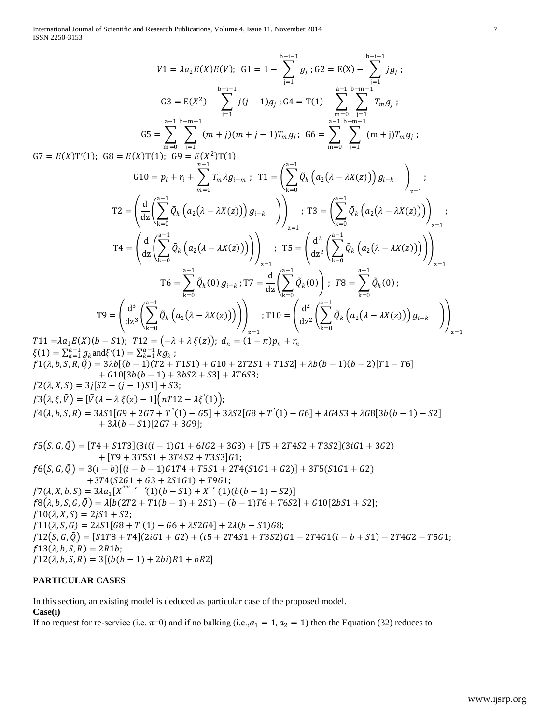International Journal of Scientific and Research Publications, Volume 4, Issue 11, November 2014 7 ISSN 2250-3153

$$
V1 = \lambda a_2 E(X)E(V); \quad G1 = 1 - \sum_{j=1}^{b-1} g_j; \quad G2 = E(X) - \sum_{j=1}^{b-1} fg_j; \quad G3 = E(X) - \sum_{j=1}^{b-1} fg_j; \quad G4 = E(X) - \sum_{j=1}^{b-1} fg_j; \quad G5 = E(X^2) - \sum_{j=1}^{b-1} f(J-1)g_j; \quad G4 = T(1) - \sum_{m=0}^{a-1} \sum_{i=1}^{b-m-1} T_m g_j; \quad G5 = \sum_{m=0}^{a-1} \sum_{j=1}^{b-m-1} (m+j)(m+j-1)T_m g_j; \quad G6 = \sum_{m=0}^{a-1} \sum_{j=1}^{b-m-1} (m+j)T_m g_j; \quad G7 = E(X)T(1); \quad G9 = E(X^2)T(1)
$$
\n
$$
G10 = p_i + r_i + \sum_{m=0}^{b-1} T_m \lambda g_{i-m}; \quad T1 = \left(\sum_{k=0}^{a-1} \bar{Q}_k \left(a_2(\lambda - \lambda X(z))\right)g_{i-k}\right)_{i=1}; \quad T2 = \left(\frac{d}{dz} \left(\sum_{k=0}^{a-1} \bar{Q}_k \left(a_2(\lambda - \lambda X(z))\right)\right)g_{i-k}\right)_{i=1}
$$
\n
$$
T4 = \left(\frac{d}{dz} \left(\sum_{k=0}^{a-1} \bar{Q}_k \left(a_2(\lambda - \lambda X(z))\right)\right)g_{i-k}; \quad T3 = \left(\frac{d^2}{dz^2} \left(\sum_{k=0}^{a-1} \bar{Q}_k \left(a_2(\lambda - \lambda X(z))\right)\right)\right)_{i=1}; \quad T4 = \left(\frac{d}{dz} \left(\sum_{k=0}^{a-1} \bar{Q}_k \left(a_2(\lambda - \lambda X(z))\right)\right)\right)_{i=1}; \quad T5 = \left(\frac{d^2}{dz^2} \left(\sum_{k=0}^{a-1} \bar{Q}_k \left(a_2(\lambda - \lambda X(z))\right)\right)\right)_{i=1}
$$
\n
$$
T6 = \sum_{k=0}^{b-1} \bar{Q}_k (0) g_{i-k}; T7 = \frac{d}{dz} \left(\sum_{k=0}^{a-1} \bar
$$

 $f10(\lambda, X, S) = 2jS1 + S2;$  $f11(\lambda, S, G) = 2\lambda S1[G8 + T'(1) - G6 + \lambda S2G4] + 2\lambda(b - S1)G8;$  $f12(S, G, \tilde{Q}) = [S1T8 + T4](2iG1 + G2) + (t5 + 2T4S1 + T3S2)G1 - 2T4G1(i - b + S1) - 2T4G2 - T5G1;$  $f13(\lambda, b, S, R) = 2R1b;$  $f12(\lambda, b, S, R) = 3[(b(b-1) + 2bi)R1 + bR2]$ 

# **PARTICULAR CASES**

In this section, an existing model is deduced as particular case of the proposed model.

## **Case(i)**

If no request for re-service (i.e.  $\pi=0$ ) and if no balking (i.e., $a_1 = 1, a_2 = 1$ ) then the Equation (32) reduces to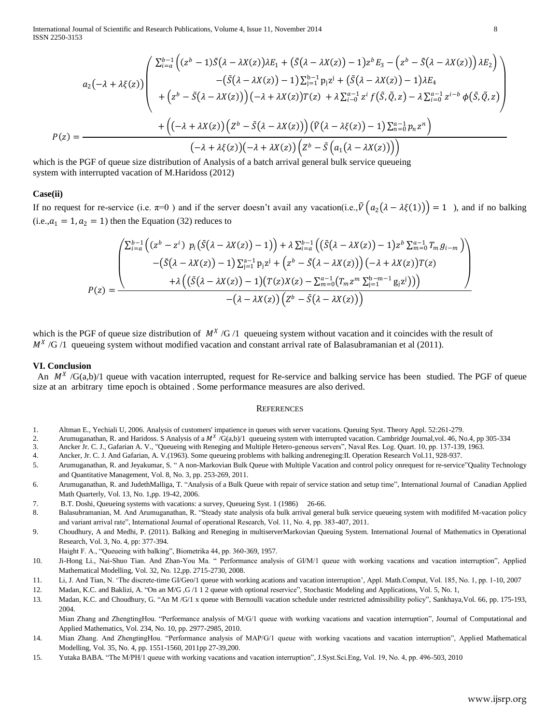International Journal of Scientific and Research Publications, Volume 4, Issue 11, November 2014 8 ISSN 2250-3153

$$
a_2(-\lambda + \lambda \xi(z)) \begin{pmatrix} \sum_{i=a}^{b-1} \left( (z^b - 1)\tilde{S}(\lambda - \lambda X(z))\lambda E_1 + \left(\tilde{S}(\lambda - \lambda X(z)) - 1\right)z^b E_3 - \left(z^b - \tilde{S}(\lambda - \lambda X(z))\right)\lambda E_2\right) \\ - \left(\tilde{S}(\lambda - \lambda X(z)) - 1\right)\sum_{j=1}^{b-1} p_j z^j + \left(\tilde{S}(\lambda - \lambda X(z)) - 1\right)\lambda E_4 \\ + \left(z^b - \tilde{S}(\lambda - \lambda X(z))\right)(-\lambda + \lambda X(z))T(z) + \lambda \sum_{i=0}^{a-1} z^i f(\tilde{S}, \tilde{Q}, z) - \lambda \sum_{i=0}^{a-1} z^{i-b} \phi(\tilde{S}, \tilde{Q}, z) \\ + \left(\left(-\lambda + \lambda X(z)\right)\left(z^b - \tilde{S}(\lambda - \lambda X(z))\right)\left(\tilde{V}(\lambda - \lambda \xi(z)) - 1\right)\sum_{n=0}^{a-1} p_n z^n\right) \\ - \lambda + \lambda \xi(z)\left(-\lambda + \lambda X(z)\right)\left(z^b - \tilde{S}\left(a_1(\lambda - \lambda X(z))\right)\right)
$$

which is the PGF of queue size distribution of Analysis of a batch arrival general bulk service queueing system with interrupted vacation of M.Haridoss (2012)

#### **Case(ii)**

If no request for re-service (i.e.  $\pi=0$ ) and if the server doesn't avail any vacation(i.e.,  $\tilde{V}(a_2(\lambda - \lambda \xi(1))) = 1$ ), and if no balking  $(i.e., a_1 = 1, a_2 = 1)$  then the Equation (32) reduces to

$$
P(z) = \frac{\begin{pmatrix} \sum_{i=a}^{b-1} \left( (z^b - z^i) p_i(\tilde{S}(\lambda - \lambda X(z)) - 1) \right) + \lambda \sum_{i=a}^{b-1} \left( (\tilde{S}(\lambda - \lambda X(z)) - 1) z^b \sum_{m=0}^{a-1} T_m g_{i-m} \right) \\ - (\tilde{S}(\lambda - \lambda X(z)) - 1) \sum_{j=1}^{a-1} p_j z^j + \left( z^b - \tilde{S}(\lambda - \lambda X(z)) \right) (-\lambda + \lambda X(z)) T(z) \\ + \lambda \left( (\tilde{S}(\lambda - \lambda X(z)) - 1) (T(z) X(z) - \sum_{m=0}^{a-1} (T_m z^m \sum_{j=1}^{b-m-1} g_j z^j)) \right) \\ - (\lambda - \lambda X(z)) (Z^b - \tilde{S}(\lambda - \lambda X(z)) \end{pmatrix}
$$

which is the PGF of queue size distribution of  $M^X/G/1$  queueing system without vacation and it coincides with the result of  $M^X/G/1$  queueing system without modified vacation and constant arrival rate of Balasubramanian et al (2011).

#### **VI. Conclusion**

An  $M^X$  /G(a,b)/1 queue with vacation interrupted, request for Re-service and balking service has been studied. The PGF of queue size at an arbitrary time epoch is obtained . Some performance measures are also derived.

#### **REFERENCES**

- 1. Altman E., Yechiali U, 2006. Analysis of customers' impatience in queues with server vacations. Queuing Syst. Theory Appl. 52:261-279.
- 2. Arumuganathan, R. and Haridoss. S Analysis of a  $M^{\chi}/G(a,b)/1$  queueing system with interrupted vacation. Cambridge Journal, vol. 46, No.4, pp 305-334
- 3. Ancker Jr. C. J., Gafarian A. V., "Queueing with Reneging and Multiple Hetero-geneous servers", Naval Res. Log. Quart. 10, pp. 137-139, 1963.
- 4. Ancker, Jr. C. J. And Gafarian, A. V.(1963). Some queueing problems with balking andreneging:II. Operation Research Vol.11, 928-937.
- 5. Arumuganathan, R. and Jeyakumar, S. " A non-Markovian Bulk Queue with Multiple Vacation and control policy onrequest for re-service"Quality Technology and Quantitative Management, Vol. 8, No. 3, pp. 253-269, 2011.
- 6. Arumuganathan, R. and JudethMalliga, T. "Analysis of a Bulk Queue with repair of service station and setup time", International Journal of Canadian Applied Math Quarterly, Vol. 13, No. 1,pp. 19-42, 2006.
- 7. B.T. Doshi, Queueing systems with vacations: a survey, Queueing Syst. 1 (1986) 26-66.
- 8. Balasubramanian, M. And Arumuganathan, R. "Steady state analysis ofa bulk arrival general bulk service queueing system with modififed M-vacation policy and variant arrival rate", International Journal of operational Research, Vol. 11, No. 4, pp. 383-407, 2011.
- 9. Choudhury, A and Medhi, P. (2011). Balking and Reneging in multiserverMarkovian Queuing System. International Journal of Mathematics in Operational Research, Vol. 3, No. 4, pp: 377-394.
	- Haight F. A., "Queueing with balking", Biometrika 44, pp. 360-369, 1957.
- 10. Ji-Hong Li., Nai-Shuo Tian. And Zhan-You Ma. " Performance analysis of GI/M/1 queue with working vacations and vacation interruption", Applied Mathematical Modelling, Vol. 32, No. 12,pp. 2715-2730, 2008.
- 11. Li, J. And Tian, N. "The discrete-time GI/Geo/1 queue with working acations and vacation interruption", Appl. Math.Comput, Vol. 185, No. 1, pp. 1-10, 2007
- 12. Madan, K.C. and Baklizi, A. "On an M/G ,G /1 1 2 queue with optional reservice", Stochastic Modeling and Applications, Vol. 5, No. 1,
- 13. Madan, K.C. and Choudhury, G. "An M /G/1 x queue with Bernoulli vacation schedule under restricted admissibility policy", Sankhaya,Vol. 66, pp. 175-193, 2004.

Mian Zhang and ZhengtingHou. "Performance analysis of M/G/1 queue with working vacations and vacation interruption", Journal of Computational and Applied Mathematics, Vol. 234, No. 10, pp. 2977-2985, 2010.

- 14. Mian Zhang. And ZhengtingHou. "Performance analysis of MAP/G/1 queue with working vacations and vacation interruption", Applied Mathematical Modelling, Vol. 35, No. 4, pp. 1551-1560, 2011pp 27-39,200.
- 15. Yutaka BABA. "The M/PH/1 queue with working vacations and vacation interruption", J.Syst.Sci.Eng, Vol. 19, No. 4, pp. 496-503, 2010